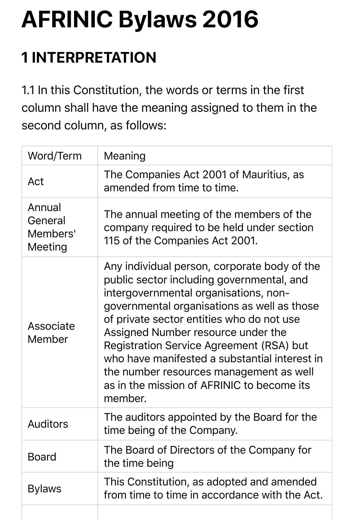# **AFRINIC Bylaws 2016**

# **1 INTERPRETATION**

1.1 In this Constitution, the words or terms in the first column shall have the meaning assigned to them in the second column, as follows:

| Word/Term                                | Meaning                                                                                                                                                                                                                                                                                                                                                                                                                                                               |
|------------------------------------------|-----------------------------------------------------------------------------------------------------------------------------------------------------------------------------------------------------------------------------------------------------------------------------------------------------------------------------------------------------------------------------------------------------------------------------------------------------------------------|
| Act                                      | The Companies Act 2001 of Mauritius, as<br>amended from time to time.                                                                                                                                                                                                                                                                                                                                                                                                 |
| Annual<br>General<br>Members'<br>Meeting | The annual meeting of the members of the<br>company required to be held under section<br>115 of the Companies Act 2001.                                                                                                                                                                                                                                                                                                                                               |
| Associate<br>Member                      | Any individual person, corporate body of the<br>public sector including governmental, and<br>intergovernmental organisations, non-<br>governmental organisations as well as those<br>of private sector entities who do not use<br>Assigned Number resource under the<br>Registration Service Agreement (RSA) but<br>who have manifested a substantial interest in<br>the number resources management as well<br>as in the mission of AFRINIC to become its<br>member. |
| <b>Auditors</b>                          | The auditors appointed by the Board for the<br>time being of the Company.                                                                                                                                                                                                                                                                                                                                                                                             |
| <b>Board</b>                             | The Board of Directors of the Company for<br>the time being                                                                                                                                                                                                                                                                                                                                                                                                           |
| <b>Bylaws</b>                            | This Constitution, as adopted and amended<br>from time to time in accordance with the Act.                                                                                                                                                                                                                                                                                                                                                                            |
|                                          |                                                                                                                                                                                                                                                                                                                                                                                                                                                                       |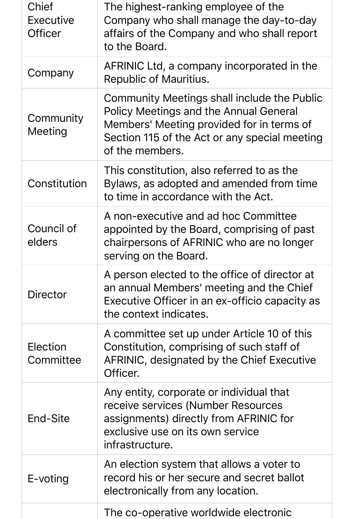| Chief<br>Executive<br><b>Officer</b> | The highest-ranking employee of the<br>Company who shall manage the day-to-day<br>affairs of the Company and who shall report<br>to the Board.                                                                |
|--------------------------------------|---------------------------------------------------------------------------------------------------------------------------------------------------------------------------------------------------------------|
| Company                              | AFRINIC Ltd, a company incorporated in the<br><b>Republic of Mauritius.</b>                                                                                                                                   |
| Community<br>Meeting                 | Community Meetings shall include the Public<br><b>Policy Meetings and the Annual General</b><br>Members' Meeting provided for in terms of<br>Section 115 of the Act or any special meeting<br>of the members. |
| Constitution                         | This constitution, also referred to as the<br>Bylaws, as adopted and amended from time<br>to time in accordance with the Act.                                                                                 |
| Council of<br>elders                 | A non-executive and ad hoc Committee<br>appointed by the Board, comprising of past<br>chairpersons of AFRINIC who are no longer<br>serving on the Board.                                                      |
| <b>Director</b>                      | A person elected to the office of director at<br>an annual Members' meeting and the Chief<br>Executive Officer in an ex-officio capacity as<br>the context indicates.                                         |
| Election<br>Committee                | A committee set up under Article 10 of this<br>Constitution, comprising of such staff of<br>AFRINIC, designated by the Chief Executive<br>Officer.                                                            |
| End-Site                             | Any entity, corporate or individual that<br>receive services (Number Resources<br>assignments) directly from AFRINIC for<br>exclusive use on its own service<br>infrastructure.                               |
| E-voting                             | An election system that allows a voter to<br>record his or her secure and secret ballot<br>electronically from any location.                                                                                  |
|                                      | The co-operative worldwide electronic                                                                                                                                                                         |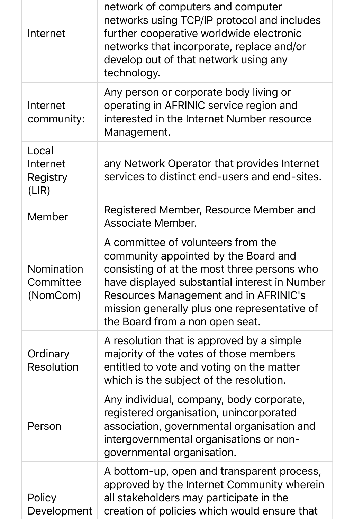| Internet                                   | network of computers and computer<br>networks using TCP/IP protocol and includes<br>further cooperative worldwide electronic<br>networks that incorporate, replace and/or<br>develop out of that network using any<br>technology.                                                                      |
|--------------------------------------------|--------------------------------------------------------------------------------------------------------------------------------------------------------------------------------------------------------------------------------------------------------------------------------------------------------|
| Internet<br>community:                     | Any person or corporate body living or<br>operating in AFRINIC service region and<br>interested in the Internet Number resource<br>Management.                                                                                                                                                         |
| Local<br>Internet<br>Registry<br>(LIR)     | any Network Operator that provides Internet<br>services to distinct end-users and end-sites.                                                                                                                                                                                                           |
| Member                                     | Registered Member, Resource Member and<br><b>Associate Member.</b>                                                                                                                                                                                                                                     |
| <b>Nomination</b><br>Committee<br>(NomCom) | A committee of volunteers from the<br>community appointed by the Board and<br>consisting of at the most three persons who<br>have displayed substantial interest in Number<br>Resources Management and in AFRINIC's<br>mission generally plus one representative of<br>the Board from a non open seat. |
| Ordinary<br><b>Resolution</b>              | A resolution that is approved by a simple<br>majority of the votes of those members<br>entitled to vote and voting on the matter<br>which is the subject of the resolution.                                                                                                                            |
| Person                                     | Any individual, company, body corporate,<br>registered organisation, unincorporated<br>association, governmental organisation and<br>intergovernmental organisations or non-<br>governmental organisation.                                                                                             |
| Policy<br>Development                      | A bottom-up, open and transparent process,<br>approved by the Internet Community wherein<br>all stakeholders may participate in the<br>creation of policies which would ensure that                                                                                                                    |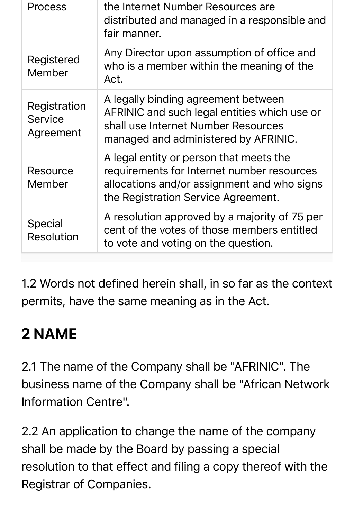| <b>Process</b>                              | the Internet Number Resources are<br>distributed and managed in a responsible and<br>fair manner.                                                                           |
|---------------------------------------------|-----------------------------------------------------------------------------------------------------------------------------------------------------------------------------|
| Registered<br>Member                        | Any Director upon assumption of office and<br>who is a member within the meaning of the<br>Act.                                                                             |
| Registration<br><b>Service</b><br>Agreement | A legally binding agreement between<br>AFRINIC and such legal entities which use or<br>shall use Internet Number Resources<br>managed and administered by AFRINIC.          |
| Resource<br>Member                          | A legal entity or person that meets the<br>requirements for Internet number resources<br>allocations and/or assignment and who signs<br>the Registration Service Agreement. |
| <b>Special</b><br><b>Resolution</b>         | A resolution approved by a majority of 75 per<br>cent of the votes of those members entitled<br>to vote and voting on the question.                                         |

1.2 Words not defined herein shall, in so far as the context permits, have the same meaning as in the Act.

# **2 NAME**

2.1 The name of the Company shall be "AFRINIC". The business name of the Company shall be "African Network Information Centre".

2.2 An application to change the name of the company shall be made by the Board by passing a special resolution to that effect and filing a copy thereof with the Registrar of Companies.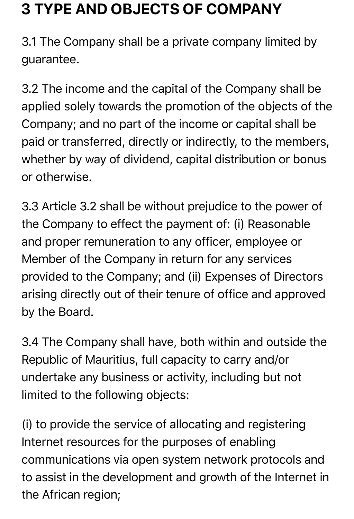### **3 TYPE AND OBJECTS OF COMPANY**

3.1 The Company shall be a private company limited by guarantee.

3.2 The income and the capital of the Company shall be applied solely towards the promotion of the objects of the Company; and no part of the income or capital shall be paid or transferred, directly or indirectly, to the members, whether by way of dividend, capital distribution or bonus or otherwise.

3.3 Article 3.2 shall be without prejudice to the power of the Company to effect the payment of: (i) Reasonable and proper remuneration to any officer, employee or Member of the Company in return for any services provided to the Company; and (ii) Expenses of Directors arising directly out of their tenure of office and approved by the Board.

3.4 The Company shall have, both within and outside the Republic of Mauritius, full capacity to carry and/or undertake any business or activity, including but not limited to the following objects:

(i) to provide the service of allocating and registering Internet resources for the purposes of enabling communications via open system network protocols and to assist in the development and growth of the Internet in the African region;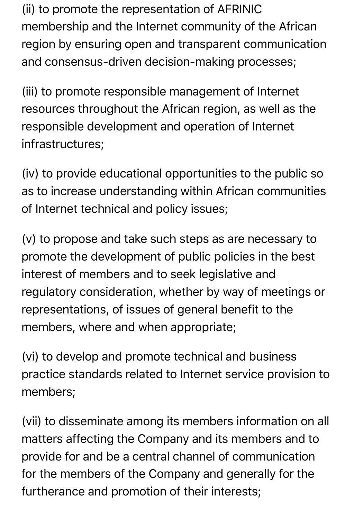(ii) to promote the representation of AFRINIC membership and the Internet community of the African region by ensuring open and transparent communication and consensus-driven decision-making processes;

(iii) to promote responsible management of Internet resources throughout the African region, as well as the responsible development and operation of Internet infrastructures;

(iv) to provide educational opportunities to the public so as to increase understanding within African communities of Internet technical and policy issues;

(v) to propose and take such steps as are necessary to promote the development of public policies in the best interest of members and to seek legislative and regulatory consideration, whether by way of meetings or representations, of issues of general benefit to the members, where and when appropriate;

(vi) to develop and promote technical and business practice standards related to Internet service provision to members;

(vii) to disseminate among its members information on all matters affecting the Company and its members and to provide for and be a central channel of communication for the members of the Company and generally for the furtherance and promotion of their interests;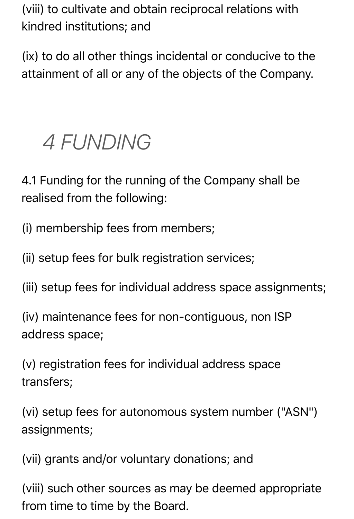(viii) to cultivate and obtain reciprocal relations with kindred institutions; and

(ix) to do all other things incidental or conducive to the attainment of all or any of the objects of the Company.

# *4 FUNDING*

4.1 Funding for the running of the Company shall be realised from the following:

(i) membership fees from members;

(ii) setup fees for bulk registration services;

(iii) setup fees for individual address space assignments;

(iv) maintenance fees for non-contiguous, non ISP address space;

(v) registration fees for individual address space transfers;

(vi) setup fees for autonomous system number ("ASN") assignments;

(vii) grants and/or voluntary donations; and

(viii) such other sources as may be deemed appropriate from time to time by the Board.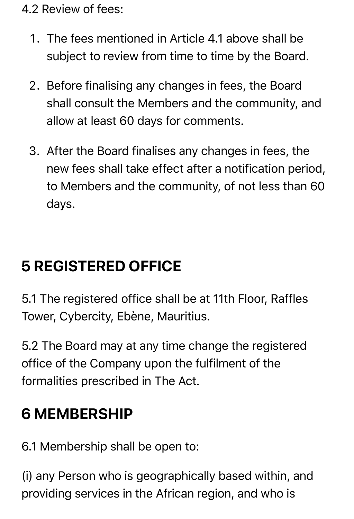4.2 Review of fees:

- 1. The fees mentioned in Article 4.1 above shall be subject to review from time to time by the Board.
- 2. Before finalising any changes in fees, the Board shall consult the Members and the community, and allow at least 60 days for comments.
- 3. After the Board finalises any changes in fees, the new fees shall take effect after a notification period, to Members and the community, of not less than 60 days.

# **5 REGISTERED OFFICE**

5.1 The registered office shall be at 11th Floor, Raffles Tower, Cybercity, Ebène, Mauritius.

5.2 The Board may at any time change the registered office of the Company upon the fulfilment of the formalities prescribed in The Act.

### **6 MEMBERSHIP**

6.1 Membership shall be open to:

(i) any Person who is geographically based within, and providing services in the African region, and who is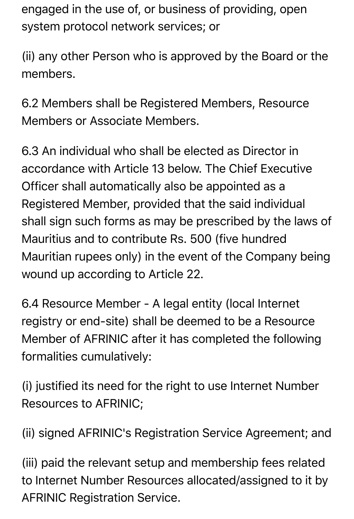engaged in the use of, or business of providing, open system protocol network services; or

(ii) any other Person who is approved by the Board or the members.

6.2 Members shall be Registered Members, Resource Members or Associate Members.

6.3 An individual who shall be elected as Director in accordance with Article 13 below. The Chief Executive Officer shall automatically also be appointed as a Registered Member, provided that the said individual shall sign such forms as may be prescribed by the laws of Mauritius and to contribute Rs. 500 (five hundred Mauritian rupees only) in the event of the Company being wound up according to Article 22.

6.4 Resource Member - A legal entity (local Internet registry or end-site) shall be deemed to be a Resource Member of AFRINIC after it has completed the following formalities cumulatively:

(i) justified its need for the right to use Internet Number Resources to AFRINIC;

(ii) signed AFRINIC's Registration Service Agreement; and

(iii) paid the relevant setup and membership fees related to Internet Number Resources allocated/assigned to it by AFRINIC Registration Service.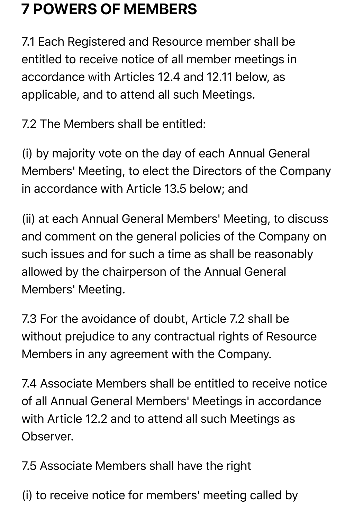### **7 POWERS OF MEMBERS**

7.1 Each Registered and Resource member shall be entitled to receive notice of all member meetings in accordance with Articles 12.4 and 12.11 below, as applicable, and to attend all such Meetings.

7.2 The Members shall be entitled:

(i) by majority vote on the day of each Annual General Members' Meeting, to elect the Directors of the Company in accordance with Article 13.5 below; and

(ii) at each Annual General Members' Meeting, to discuss and comment on the general policies of the Company on such issues and for such a time as shall be reasonably allowed by the chairperson of the Annual General Members' Meeting.

7.3 For the avoidance of doubt, Article 7.2 shall be without prejudice to any contractual rights of Resource Members in any agreement with the Company.

7.4 Associate Members shall be entitled to receive notice of all Annual General Members' Meetings in accordance with Article 12.2 and to attend all such Meetings as Observer.

7.5 Associate Members shall have the right

(i) to receive notice for members' meeting called by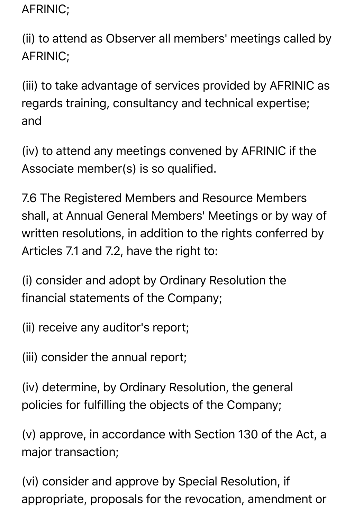AFRINIC;

(ii) to attend as Observer all members' meetings called by AFRINIC;

(iii) to take advantage of services provided by AFRINIC as regards training, consultancy and technical expertise; and

(iv) to attend any meetings convened by AFRINIC if the Associate member(s) is so qualified.

7.6 The Registered Members and Resource Members shall, at Annual General Members' Meetings or by way of written resolutions, in addition to the rights conferred by Articles 7.1 and 7.2, have the right to:

(i) consider and adopt by Ordinary Resolution the financial statements of the Company;

(ii) receive any auditor's report;

(iii) consider the annual report;

(iv) determine, by Ordinary Resolution, the general policies for fulfilling the objects of the Company;

(v) approve, in accordance with Section 130 of the Act, a major transaction;

(vi) consider and approve by Special Resolution, if appropriate, proposals for the revocation, amendment or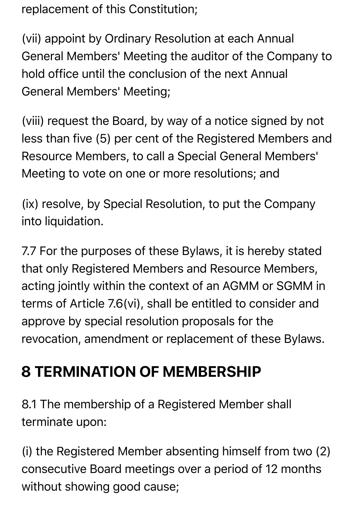replacement of this Constitution;

(vii) appoint by Ordinary Resolution at each Annual General Members' Meeting the auditor of the Company to hold office until the conclusion of the next Annual General Members' Meeting;

(viii) request the Board, by way of a notice signed by not less than five (5) per cent of the Registered Members and Resource Members, to call a Special General Members' Meeting to vote on one or more resolutions; and

(ix) resolve, by Special Resolution, to put the Company into liquidation.

7.7 For the purposes of these Bylaws, it is hereby stated that only Registered Members and Resource Members, acting jointly within the context of an AGMM or SGMM in terms of Article 7.6(vi), shall be entitled to consider and approve by special resolution proposals for the revocation, amendment or replacement of these Bylaws.

# **8 TERMINATION OF MEMBERSHIP**

8.1 The membership of a Registered Member shall terminate upon:

(i) the Registered Member absenting himself from two (2) consecutive Board meetings over a period of 12 months without showing good cause;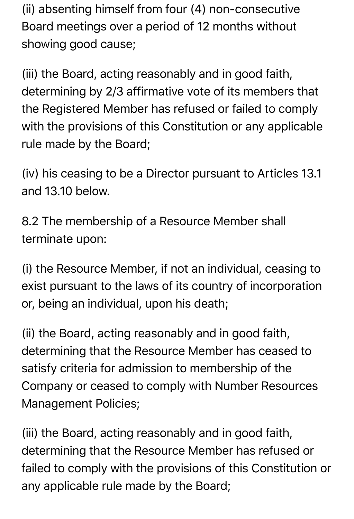(ii) absenting himself from four (4) non-consecutive Board meetings over a period of 12 months without showing good cause;

(iii) the Board, acting reasonably and in good faith, determining by 2/3 affirmative vote of its members that the Registered Member has refused or failed to comply with the provisions of this Constitution or any applicable rule made by the Board;

(iv) his ceasing to be a Director pursuant to Articles 13.1 and 13.10 below.

8.2 The membership of a Resource Member shall terminate upon:

(i) the Resource Member, if not an individual, ceasing to exist pursuant to the laws of its country of incorporation or, being an individual, upon his death;

(ii) the Board, acting reasonably and in good faith, determining that the Resource Member has ceased to satisfy criteria for admission to membership of the Company or ceased to comply with Number Resources Management Policies;

(iii) the Board, acting reasonably and in good faith, determining that the Resource Member has refused or failed to comply with the provisions of this Constitution or any applicable rule made by the Board;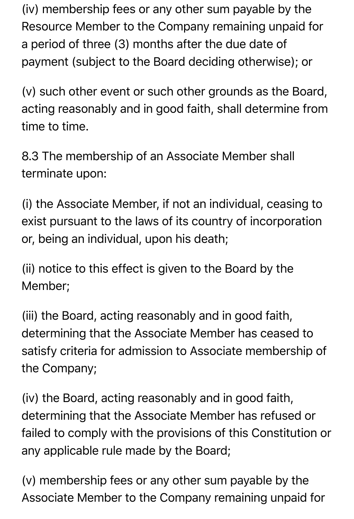(iv) membership fees or any other sum payable by the Resource Member to the Company remaining unpaid for a period of three (3) months after the due date of payment (subject to the Board deciding otherwise); or

(v) such other event or such other grounds as the Board, acting reasonably and in good faith, shall determine from time to time.

8.3 The membership of an Associate Member shall terminate upon:

(i) the Associate Member, if not an individual, ceasing to exist pursuant to the laws of its country of incorporation or, being an individual, upon his death;

(ii) notice to this effect is given to the Board by the Member;

(iii) the Board, acting reasonably and in good faith, determining that the Associate Member has ceased to satisfy criteria for admission to Associate membership of the Company;

(iv) the Board, acting reasonably and in good faith, determining that the Associate Member has refused or failed to comply with the provisions of this Constitution or any applicable rule made by the Board;

(v) membership fees or any other sum payable by the Associate Member to the Company remaining unpaid for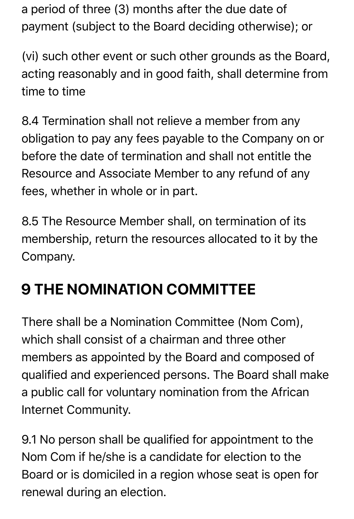a period of three (3) months after the due date of payment (subject to the Board deciding otherwise); or

(vi) such other event or such other grounds as the Board, acting reasonably and in good faith, shall determine from time to time

8.4 Termination shall not relieve a member from any obligation to pay any fees payable to the Company on or before the date of termination and shall not entitle the Resource and Associate Member to any refund of any fees, whether in whole or in part.

8.5 The Resource Member shall, on termination of its membership, return the resources allocated to it by the Company.

# **9 THE NOMINATION COMMITTEE**

There shall be a Nomination Committee (Nom Com), which shall consist of a chairman and three other members as appointed by the Board and composed of qualified and experienced persons. The Board shall make a public call for voluntary nomination from the African Internet Community.

9.1 No person shall be qualified for appointment to the Nom Com if he/she is a candidate for election to the Board or is domiciled in a region whose seat is open for renewal during an election.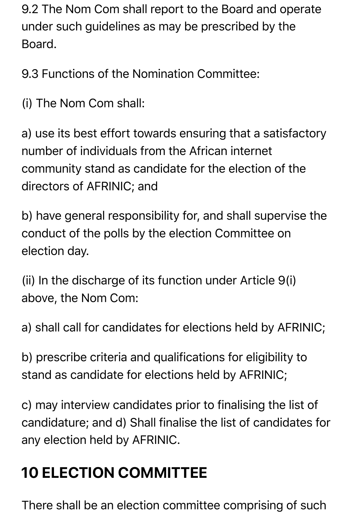9.2 The Nom Com shall report to the Board and operate under such guidelines as may be prescribed by the Board.

9.3 Functions of the Nomination Committee:

(i) The Nom Com shall:

a) use its best effort towards ensuring that a satisfactory number of individuals from the African internet community stand as candidate for the election of the directors of AFRINIC; and

b) have general responsibility for, and shall supervise the conduct of the polls by the election Committee on election day.

(ii) In the discharge of its function under Article 9(i) above, the Nom Com:

a) shall call for candidates for elections held by AFRINIC;

b) prescribe criteria and qualifications for eligibility to stand as candidate for elections held by AFRINIC;

c) may interview candidates prior to finalising the list of candidature; and d) Shall finalise the list of candidates for any election held by AFRINIC.

# **10 ELECTION COMMITTEE**

There shall be an election committee comprising of such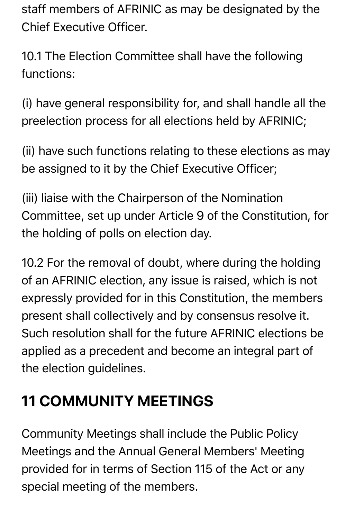staff members of AFRINIC as may be designated by the Chief Executive Officer.

10.1 The Election Committee shall have the following functions:

(i) have general responsibility for, and shall handle all the preelection process for all elections held by AFRINIC;

(ii) have such functions relating to these elections as may be assigned to it by the Chief Executive Officer;

(iii) liaise with the Chairperson of the Nomination Committee, set up under Article 9 of the Constitution, for the holding of polls on election day.

10.2 For the removal of doubt, where during the holding of an AFRINIC election, any issue is raised, which is not expressly provided for in this Constitution, the members present shall collectively and by consensus resolve it. Such resolution shall for the future AFRINIC elections be applied as a precedent and become an integral part of the election guidelines.

### **11 COMMUNITY MEETINGS**

Community Meetings shall include the Public Policy Meetings and the Annual General Members' Meeting provided for in terms of Section 115 of the Act or any special meeting of the members.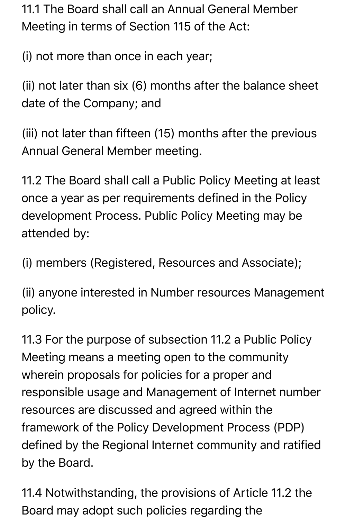11.1 The Board shall call an Annual General Member Meeting in terms of Section 115 of the Act:

(i) not more than once in each year;

(ii) not later than six (6) months after the balance sheet date of the Company; and

(iii) not later than fifteen (15) months after the previous Annual General Member meeting.

11.2 The Board shall call a Public Policy Meeting at least once a year as per requirements defined in the Policy development Process. Public Policy Meeting may be attended by:

(i) members (Registered, Resources and Associate);

(ii) anyone interested in Number resources Management policy.

11.3 For the purpose of subsection 11.2 a Public Policy Meeting means a meeting open to the community wherein proposals for policies for a proper and responsible usage and Management of Internet number resources are discussed and agreed within the framework of the Policy Development Process (PDP) defined by the Regional Internet community and ratified by the Board.

11.4 Notwithstanding, the provisions of Article 11.2 the Board may adopt such policies regarding the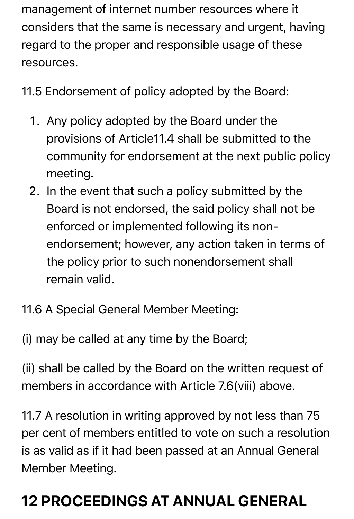management of internet number resources where it considers that the same is necessary and urgent, having regard to the proper and responsible usage of these resources.

11.5 Endorsement of policy adopted by the Board:

- 1. Any policy adopted by the Board under the provisions of Article11.4 shall be submitted to the community for endorsement at the next public policy meeting.
- 2. In the event that such a policy submitted by the Board is not endorsed, the said policy shall not be enforced or implemented following its nonendorsement; however, any action taken in terms of the policy prior to such nonendorsement shall remain valid.
- 11.6 A Special General Member Meeting:
- (i) may be called at any time by the Board;

(ii) shall be called by the Board on the written request of members in accordance with Article 7.6(viii) above.

11.7 A resolution in writing approved by not less than 75 per cent of members entitled to vote on such a resolution is as valid as if it had been passed at an Annual General Member Meeting.

# **12 PROCEEDINGS AT ANNUAL GENERAL**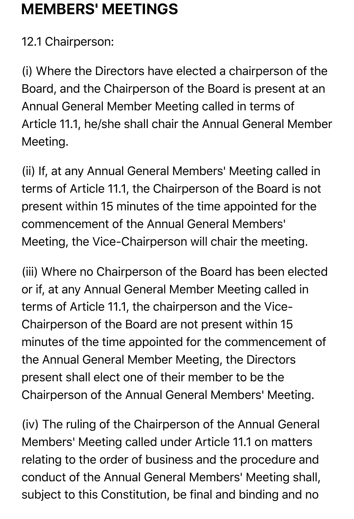### **MEMBERS' MEETINGS**

12.1 Chairperson:

(i) Where the Directors have elected a chairperson of the Board, and the Chairperson of the Board is present at an Annual General Member Meeting called in terms of Article 11.1, he/she shall chair the Annual General Member Meeting.

(ii) If, at any Annual General Members' Meeting called in terms of Article 11.1, the Chairperson of the Board is not present within 15 minutes of the time appointed for the commencement of the Annual General Members' Meeting, the Vice-Chairperson will chair the meeting.

(iii) Where no Chairperson of the Board has been elected or if, at any Annual General Member Meeting called in terms of Article 11.1, the chairperson and the Vice-Chairperson of the Board are not present within 15 minutes of the time appointed for the commencement of the Annual General Member Meeting, the Directors present shall elect one of their member to be the Chairperson of the Annual General Members' Meeting.

(iv) The ruling of the Chairperson of the Annual General Members' Meeting called under Article 11.1 on matters relating to the order of business and the procedure and conduct of the Annual General Members' Meeting shall, subject to this Constitution, be final and binding and no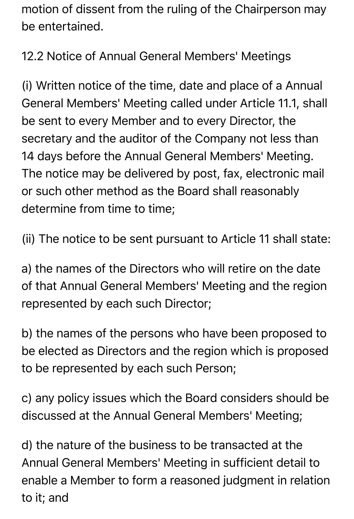motion of dissent from the ruling of the Chairperson may be entertained.

12.2 Notice of Annual General Members' Meetings

(i) Written notice of the time, date and place of a Annual General Members' Meeting called under Article 11.1, shall be sent to every Member and to every Director, the secretary and the auditor of the Company not less than 14 days before the Annual General Members' Meeting. The notice may be delivered by post, fax, electronic mail or such other method as the Board shall reasonably determine from time to time;

(ii) The notice to be sent pursuant to Article 11 shall state:

a) the names of the Directors who will retire on the date of that Annual General Members' Meeting and the region represented by each such Director;

b) the names of the persons who have been proposed to be elected as Directors and the region which is proposed to be represented by each such Person;

c) any policy issues which the Board considers should be discussed at the Annual General Members' Meeting;

d) the nature of the business to be transacted at the Annual General Members' Meeting in sufficient detail to enable a Member to form a reasoned judgment in relation to it; and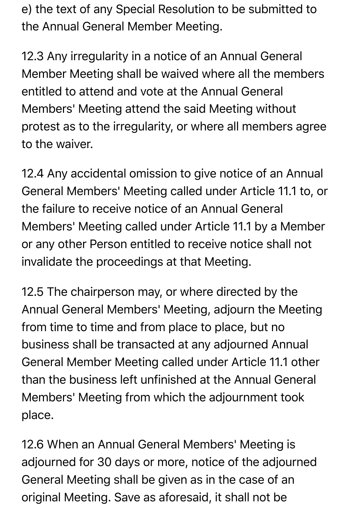e) the text of any Special Resolution to be submitted to the Annual General Member Meeting.

12.3 Any irregularity in a notice of an Annual General Member Meeting shall be waived where all the members entitled to attend and vote at the Annual General Members' Meeting attend the said Meeting without protest as to the irregularity, or where all members agree to the waiver.

12.4 Any accidental omission to give notice of an Annual General Members' Meeting called under Article 11.1 to, or the failure to receive notice of an Annual General Members' Meeting called under Article 11.1 by a Member or any other Person entitled to receive notice shall not invalidate the proceedings at that Meeting.

12.5 The chairperson may, or where directed by the Annual General Members' Meeting, adjourn the Meeting from time to time and from place to place, but no business shall be transacted at any adjourned Annual General Member Meeting called under Article 11.1 other than the business left unfinished at the Annual General Members' Meeting from which the adjournment took place.

12.6 When an Annual General Members' Meeting is adjourned for 30 days or more, notice of the adjourned General Meeting shall be given as in the case of an original Meeting. Save as aforesaid, it shall not be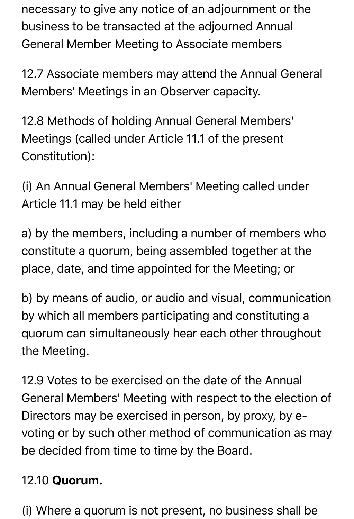necessary to give any notice of an adjournment or the business to be transacted at the adjourned Annual General Member Meeting to Associate members

12.7 Associate members may attend the Annual General Members' Meetings in an Observer capacity.

12.8 Methods of holding Annual General Members' Meetings (called under Article 11.1 of the present Constitution):

(i) An Annual General Members' Meeting called under Article 11.1 may be held either

a) by the members, including a number of members who constitute a quorum, being assembled together at the place, date, and time appointed for the Meeting; or

b) by means of audio, or audio and visual, communication by which all members participating and constituting a quorum can simultaneously hear each other throughout the Meeting.

12.9 Votes to be exercised on the date of the Annual General Members' Meeting with respect to the election of Directors may be exercised in person, by proxy, by evoting or by such other method of communication as may be decided from time to time by the Board.

#### 12.10 Quorum.

(i) Where a quorum is not present, no business shall be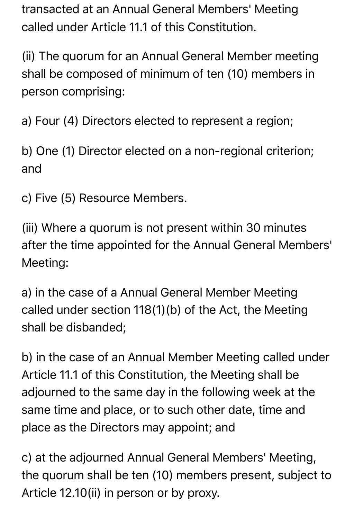transacted at an Annual General Members' Meeting called under Article 11.1 of this Constitution.

(ii) The quorum for an Annual General Member meeting shall be composed of minimum of ten (10) members in person comprising:

a) Four (4) Directors elected to represent a region;

b) One (1) Director elected on a non-regional criterion; and

c) Five (5) Resource Members.

(iii) Where a quorum is not present within 30 minutes after the time appointed for the Annual General Members' Meeting:

a) in the case of a Annual General Member Meeting called under section 118(1)(b) of the Act, the Meeting shall be disbanded;

b) in the case of an Annual Member Meeting called under Article 11.1 of this Constitution, the Meeting shall be adjourned to the same day in the following week at the same time and place, or to such other date, time and place as the Directors may appoint; and

c) at the adjourned Annual General Members' Meeting, the quorum shall be ten (10) members present, subject to Article 12.10(ii) in person or by proxy.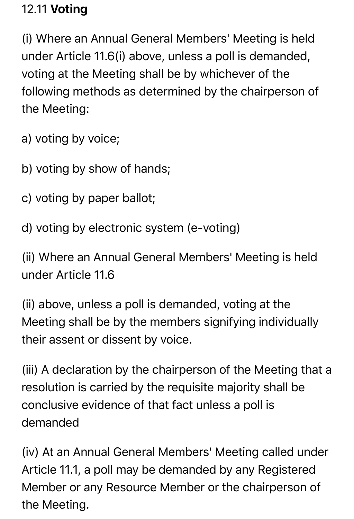#### 12.11 Voting

(i) Where an Annual General Members' Meeting is held under Article 11.6(i) above, unless a poll is demanded, voting at the Meeting shall be by whichever of the following methods as determined by the chairperson of the Meeting:

a) voting by voice;

- b) voting by show of hands;
- c) voting by paper ballot;
- d) voting by electronic system (e-voting)

(ii) Where an Annual General Members' Meeting is held under Article 11.6

(ii) above, unless a poll is demanded, voting at the Meeting shall be by the members signifying individually their assent or dissent by voice.

(iii) A declaration by the chairperson of the Meeting that a resolution is carried by the requisite majority shall be conclusive evidence of that fact unless a poll is demanded

(iv) At an Annual General Members' Meeting called under Article 11.1, a poll may be demanded by any Registered Member or any Resource Member or the chairperson of the Meeting.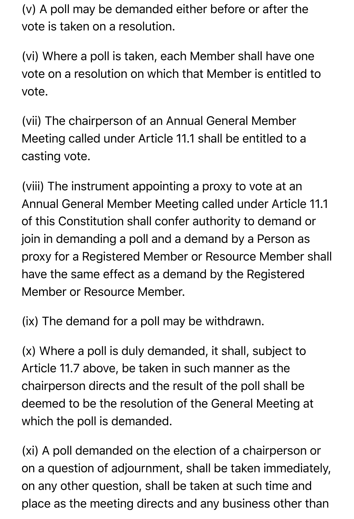(v) A poll may be demanded either before or after the vote is taken on a resolution.

(vi) Where a poll is taken, each Member shall have one vote on a resolution on which that Member is entitled to vote.

(vii) The chairperson of an Annual General Member Meeting called under Article 11.1 shall be entitled to a casting vote.

(viii) The instrument appointing a proxy to vote at an Annual General Member Meeting called under Article 11.1 of this Constitution shall confer authority to demand or join in demanding a poll and a demand by a Person as proxy for a Registered Member or Resource Member shall have the same effect as a demand by the Registered Member or Resource Member.

(ix) The demand for a poll may be withdrawn.

(x) Where a poll is duly demanded, it shall, subject to Article 11.7 above, be taken in such manner as the chairperson directs and the result of the poll shall be deemed to be the resolution of the General Meeting at which the poll is demanded.

(xi) A poll demanded on the election of a chairperson or on a question of adjournment, shall be taken immediately, on any other question, shall be taken at such time and place as the meeting directs and any business other than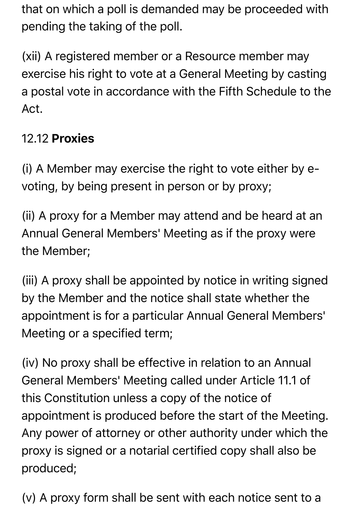that on which a poll is demanded may be proceeded with pending the taking of the poll.

(xii) A registered member or a Resource member may exercise his right to vote at a General Meeting by casting a postal vote in accordance with the Fifth Schedule to the Act.

#### 12.12 Proxies

(i) A Member may exercise the right to vote either by evoting, by being present in person or by proxy;

(ii) A proxy for a Member may attend and be heard at an Annual General Members' Meeting as if the proxy were the Member;

(iii) A proxy shall be appointed by notice in writing signed by the Member and the notice shall state whether the appointment is for a particular Annual General Members' Meeting or a specified term;

(iv) No proxy shall be effective in relation to an Annual General Members' Meeting called under Article 11.1 of this Constitution unless a copy of the notice of appointment is produced before the start of the Meeting. Any power of attorney or other authority under which the proxy is signed or a notarial certified copy shall also be produced;

(v) A proxy form shall be sent with each notice sent to a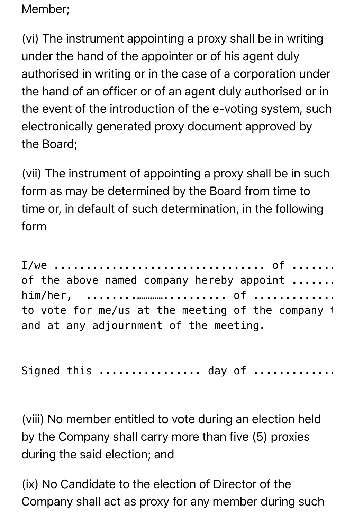Member;

(vi) The instrument appointing a proxy shall be in writing under the hand of the appointer or of his agent duly authorised in writing or in the case of a corporation under the hand of an officer or of an agent duly authorised or in the event of the introduction of the e-voting system, such electronically generated proxy document approved by the Board;

(vii) The instrument of appointing a proxy shall be in such form as may be determined by the Board from time to time or, in default of such determination, in the following form

I/we ................................. of .................. being members of the above named company hereby appoint ....... him/her, ........………….......... of ...........................…….. as my/our proxy to vote for me/us at the meeting of the company  $\dagger$ and at any adjournment of the meeting.

Signed this ................. day of .............

(viii) No member entitled to vote during an election held by the Company shall carry more than five (5) proxies during the said election; and

(ix) No Candidate to the election of Director of the Company shall act as proxy for any member during such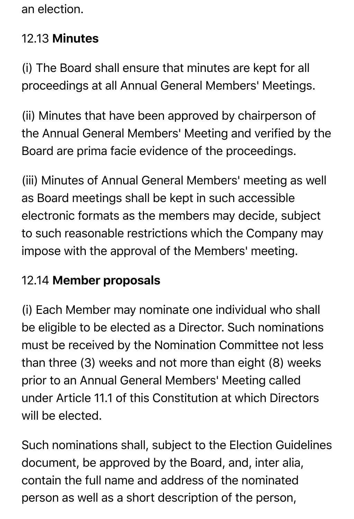an election.

#### 12.13 Minutes

(i) The Board shall ensure that minutes are kept for all proceedings at all Annual General Members' Meetings.

(ii) Minutes that have been approved by chairperson of the Annual General Members' Meeting and verified by the Board are prima facie evidence of the proceedings.

(iii) Minutes of Annual General Members' meeting as well as Board meetings shall be kept in such accessible electronic formats as the members may decide, subject to such reasonable restrictions which the Company may impose with the approval of the Members' meeting.

#### 12.14 Member proposals

(i) Each Member may nominate one individual who shall be eligible to be elected as a Director. Such nominations must be received by the Nomination Committee not less than three (3) weeks and not more than eight (8) weeks prior to an Annual General Members' Meeting called under Article 11.1 of this Constitution at which Directors will be elected.

Such nominations shall, subject to the Election Guidelines document, be approved by the Board, and, inter alia, contain the full name and address of the nominated person as well as a short description of the person,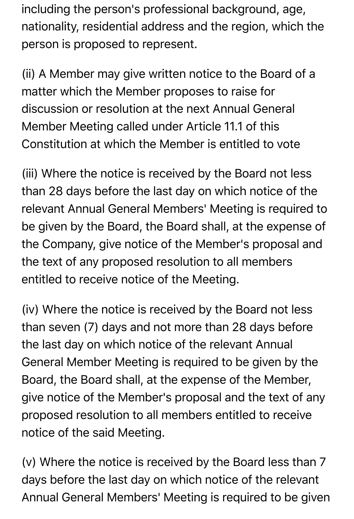including the person's professional background, age, nationality, residential address and the region, which the person is proposed to represent.

(ii) A Member may give written notice to the Board of a matter which the Member proposes to raise for discussion or resolution at the next Annual General Member Meeting called under Article 11.1 of this Constitution at which the Member is entitled to vote

(iii) Where the notice is received by the Board not less than 28 days before the last day on which notice of the relevant Annual General Members' Meeting is required to be given by the Board, the Board shall, at the expense of the Company, give notice of the Member's proposal and the text of any proposed resolution to all members entitled to receive notice of the Meeting.

(iv) Where the notice is received by the Board not less than seven (7) days and not more than 28 days before the last day on which notice of the relevant Annual General Member Meeting is required to be given by the Board, the Board shall, at the expense of the Member, give notice of the Member's proposal and the text of any proposed resolution to all members entitled to receive notice of the said Meeting.

(v) Where the notice is received by the Board less than 7 days before the last day on which notice of the relevant Annual General Members' Meeting is required to be given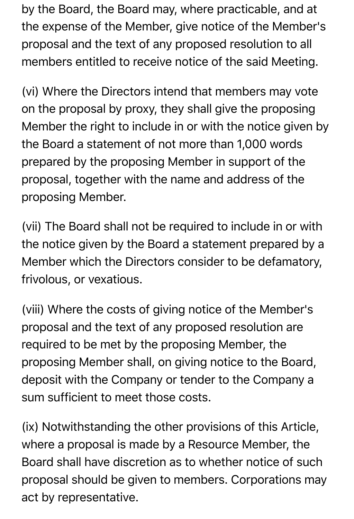by the Board, the Board may, where practicable, and at the expense of the Member, give notice of the Member's proposal and the text of any proposed resolution to all members entitled to receive notice of the said Meeting.

(vi) Where the Directors intend that members may vote on the proposal by proxy, they shall give the proposing Member the right to include in or with the notice given by the Board a statement of not more than 1,000 words prepared by the proposing Member in support of the proposal, together with the name and address of the proposing Member.

(vii) The Board shall not be required to include in or with the notice given by the Board a statement prepared by a Member which the Directors consider to be defamatory, frivolous, or vexatious.

(viii) Where the costs of giving notice of the Member's proposal and the text of any proposed resolution are required to be met by the proposing Member, the proposing Member shall, on giving notice to the Board, deposit with the Company or tender to the Company a sum sufficient to meet those costs.

(ix) Notwithstanding the other provisions of this Article, where a proposal is made by a Resource Member, the Board shall have discretion as to whether notice of such proposal should be given to members. Corporations may act by representative.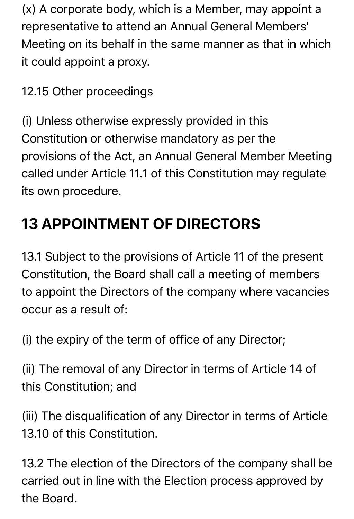(x) A corporate body, which is a Member, may appoint a representative to attend an Annual General Members' Meeting on its behalf in the same manner as that in which it could appoint a proxy.

12.15 Other proceedings

(i) Unless otherwise expressly provided in this Constitution or otherwise mandatory as per the provisions of the Act, an Annual General Member Meeting called under Article 11.1 of this Constitution may regulate its own procedure.

# **13 APPOINTMENT OF DIRECTORS**

13.1 Subject to the provisions of Article 11 of the present Constitution, the Board shall call a meeting of members to appoint the Directors of the company where vacancies occur as a result of:

(i) the expiry of the term of office of any Director;

(ii) The removal of any Director in terms of Article 14 of this Constitution; and

(iii) The disqualification of any Director in terms of Article 13.10 of this Constitution.

13.2 The election of the Directors of the company shall be carried out in line with the Election process approved by the Board.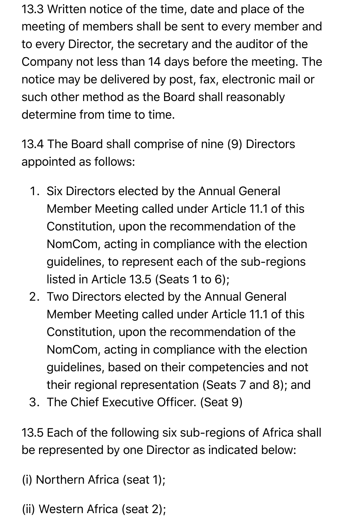13.3 Written notice of the time, date and place of the meeting of members shall be sent to every member and to every Director, the secretary and the auditor of the Company not less than 14 days before the meeting. The notice may be delivered by post, fax, electronic mail or such other method as the Board shall reasonably determine from time to time.

13.4 The Board shall comprise of nine (9) Directors appointed as follows:

- 1. Six Directors elected by the Annual General Member Meeting called under Article 11.1 of this Constitution, upon the recommendation of the NomCom, acting in compliance with the election guidelines, to represent each of the sub-regions listed in Article 13.5 (Seats 1 to 6);
- 2. Two Directors elected by the Annual General Member Meeting called under Article 11.1 of this Constitution, upon the recommendation of the NomCom, acting in compliance with the election guidelines, based on their competencies and not their regional representation (Seats 7 and 8); and
- 3. The Chief Executive Officer. (Seat 9)

13.5 Each of the following six sub-regions of Africa shall be represented by one Director as indicated below:

- (i) Northern Africa (seat 1);
- (ii) Western Africa (seat 2);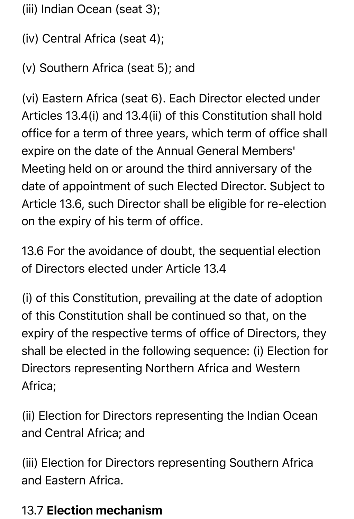- (iii) Indian Ocean (seat 3);
- (iv) Central Africa (seat 4);
- (v) Southern Africa (seat 5); and

(vi) Eastern Africa (seat 6). Each Director elected under Articles 13.4(i) and 13.4(ii) of this Constitution shall hold office for a term of three years, which term of office shall expire on the date of the Annual General Members' Meeting held on or around the third anniversary of the date of appointment of such Elected Director. Subject to Article 13.6, such Director shall be eligible for re-election on the expiry of his term of office.

13.6 For the avoidance of doubt, the sequential election of Directors elected under Article 13.4

(i) of this Constitution, prevailing at the date of adoption of this Constitution shall be continued so that, on the expiry of the respective terms of office of Directors, they shall be elected in the following sequence: (i) Election for Directors representing Northern Africa and Western Africa;

(ii) Election for Directors representing the Indian Ocean and Central Africa; and

(iii) Election for Directors representing Southern Africa and Eastern Africa.

#### 13.7 Election mechanism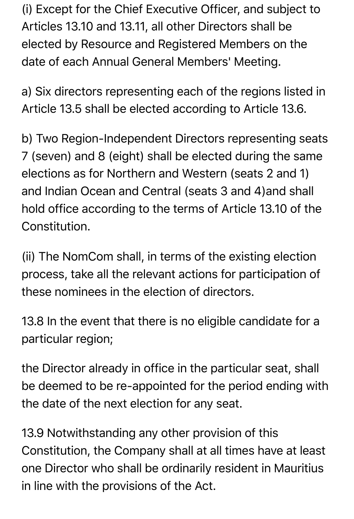(i) Except for the Chief Executive Officer, and subject to Articles 13.10 and 13.11, all other Directors shall be elected by Resource and Registered Members on the date of each Annual General Members' Meeting.

a) Six directors representing each of the regions listed in Article 13.5 shall be elected according to Article 13.6.

b) Two Region-Independent Directors representing seats 7 (seven) and 8 (eight) shall be elected during the same elections as for Northern and Western (seats 2 and 1) and Indian Ocean and Central (seats 3 and 4)and shall hold office according to the terms of Article 13.10 of the Constitution.

(ii) The NomCom shall, in terms of the existing election process, take all the relevant actions for participation of these nominees in the election of directors.

13.8 In the event that there is no eligible candidate for a particular region;

the Director already in office in the particular seat, shall be deemed to be re-appointed for the period ending with the date of the next election for any seat.

13.9 Notwithstanding any other provision of this Constitution, the Company shall at all times have at least one Director who shall be ordinarily resident in Mauritius in line with the provisions of the Act.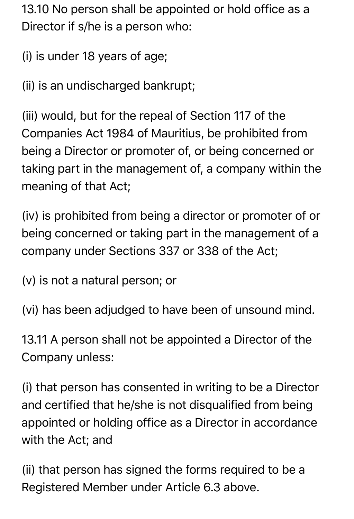13.10 No person shall be appointed or hold office as a Director if s/he is a person who:

(i) is under 18 years of age;

(ii) is an undischarged bankrupt;

(iii) would, but for the repeal of Section 117 of the Companies Act 1984 of Mauritius, be prohibited from being a Director or promoter of, or being concerned or taking part in the management of, a company within the meaning of that Act;

(iv) is prohibited from being a director or promoter of or being concerned or taking part in the management of a company under Sections 337 or 338 of the Act;

(v) is not a natural person; or

(vi) has been adjudged to have been of unsound mind.

13.11 A person shall not be appointed a Director of the Company unless:

(i) that person has consented in writing to be a Director and certified that he/she is not disqualified from being appointed or holding office as a Director in accordance with the Act; and

(ii) that person has signed the forms required to be a Registered Member under Article 6.3 above.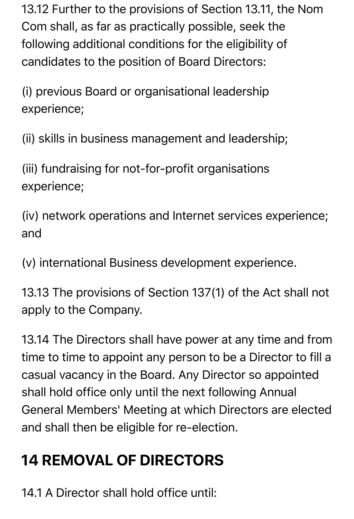13.12 Further to the provisions of Section 13.11, the Nom Com shall, as far as practically possible, seek the following additional conditions for the eligibility of candidates to the position of Board Directors:

(i) previous Board or organisational leadership experience;

(ii) skills in business management and leadership;

(iii) fundraising for not-for-profit organisations experience;

(iv) network operations and Internet services experience; and

(v) international Business development experience.

13.13 The provisions of Section 137(1) of the Act shall not apply to the Company.

13.14 The Directors shall have power at any time and from time to time to appoint any person to be a Director to fill a casual vacancy in the Board. Any Director so appointed shall hold office only until the next following Annual General Members' Meeting at which Directors are elected and shall then be eligible for re-election.

### **14 REMOVAL OF DIRECTORS**

14.1 A Director shall hold office until: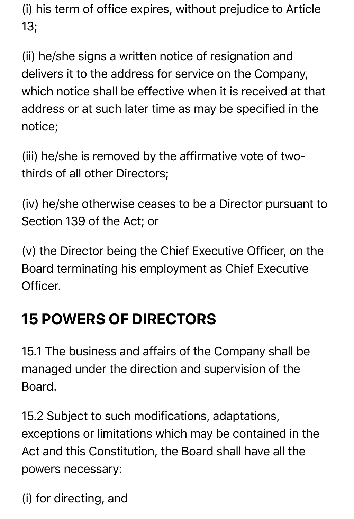(i) his term of office expires, without prejudice to Article 13;

(ii) he/she signs a written notice of resignation and delivers it to the address for service on the Company, which notice shall be effective when it is received at that address or at such later time as may be specified in the notice;

(iii) he/she is removed by the affirmative vote of twothirds of all other Directors;

(iv) he/she otherwise ceases to be a Director pursuant to Section 139 of the Act; or

(v) the Director being the Chief Executive Officer, on the Board terminating his employment as Chief Executive Officer.

### **15 POWERS OF DIRECTORS**

15.1 The business and affairs of the Company shall be managed under the direction and supervision of the Board.

15.2 Subject to such modifications, adaptations, exceptions or limitations which may be contained in the Act and this Constitution, the Board shall have all the powers necessary:

(i) for directing, and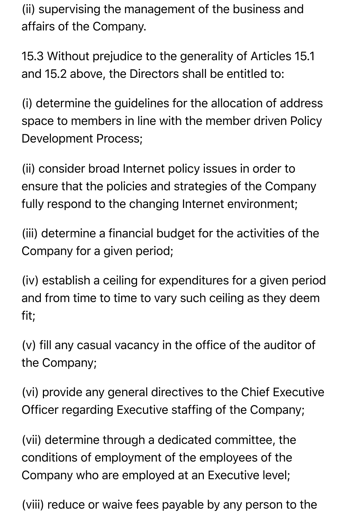(ii) supervising the management of the business and affairs of the Company.

15.3 Without prejudice to the generality of Articles 15.1 and 15.2 above, the Directors shall be entitled to:

(i) determine the guidelines for the allocation of address space to members in line with the member driven Policy Development Process;

(ii) consider broad Internet policy issues in order to ensure that the policies and strategies of the Company fully respond to the changing Internet environment;

(iii) determine a financial budget for the activities of the Company for a given period;

(iv) establish a ceiling for expenditures for a given period and from time to time to vary such ceiling as they deem fit;

(v) fill any casual vacancy in the office of the auditor of the Company;

(vi) provide any general directives to the Chief Executive Officer regarding Executive staffing of the Company;

(vii) determine through a dedicated committee, the conditions of employment of the employees of the Company who are employed at an Executive level;

(viii) reduce or waive fees payable by any person to the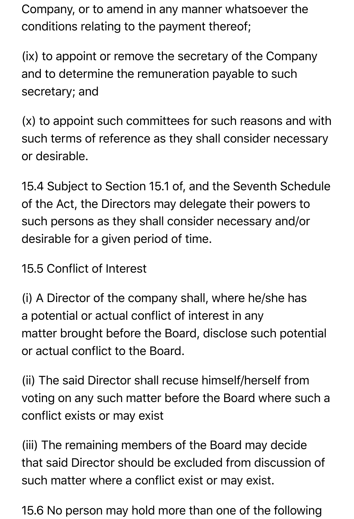Company, or to amend in any manner whatsoever the conditions relating to the payment thereof;

(ix) to appoint or remove the secretary of the Company and to determine the remuneration payable to such secretary; and

(x) to appoint such committees for such reasons and with such terms of reference as they shall consider necessary or desirable.

15.4 Subject to Section 15.1 of, and the Seventh Schedule of the Act, the Directors may delegate their powers to such persons as they shall consider necessary and/or desirable for a given period of time.

15.5 Conflict of Interest

(i) A Director of the company shall, where he/she has a potential or actual conflict of interest in any matter brought before the Board, disclose such potential or actual conflict to the Board.

(ii) The said Director shall recuse himself/herself from voting on any such matter before the Board where such a conflict exists or may exist

(iii) The remaining members of the Board may decide that said Director should be excluded from discussion of such matter where a conflict exist or may exist.

15.6 No person may hold more than one of the following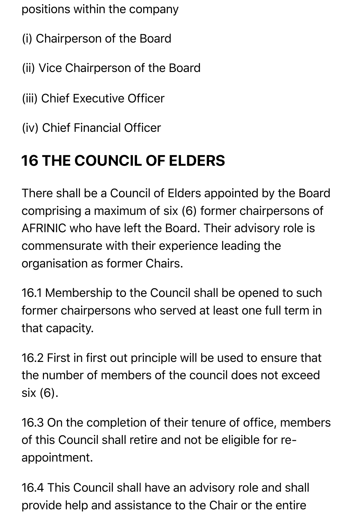positions within the company

- (i) Chairperson of the Board
- (ii) Vice Chairperson of the Board
- (iii) Chief Executive Officer
- (iv) Chief Financial Officer

# **16 THE COUNCIL OF ELDERS**

There shall be a Council of Elders appointed by the Board comprising a maximum of six (6) former chairpersons of AFRINIC who have left the Board. Their advisory role is commensurate with their experience leading the organisation as former Chairs.

16.1 Membership to the Council shall be opened to such former chairpersons who served at least one full term in that capacity.

16.2 First in first out principle will be used to ensure that the number of members of the council does not exceed six (6).

16.3 On the completion of their tenure of office, members of this Council shall retire and not be eligible for reappointment.

16.4 This Council shall have an advisory role and shall provide help and assistance to the Chair or the entire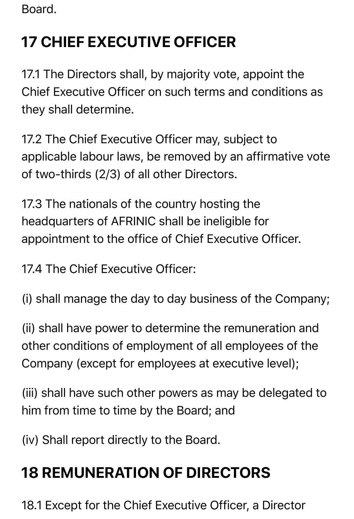Board.

# **17 CHIEF EXECUTIVE OFFICER**

17.1 The Directors shall, by majority vote, appoint the Chief Executive Officer on such terms and conditions as they shall determine.

17.2 The Chief Executive Officer may, subject to applicable labour laws, be removed by an affirmative vote of two-thirds (2/3) of all other Directors.

17.3 The nationals of the country hosting the headquarters of AFRINIC shall be ineligible for appointment to the office of Chief Executive Officer.

17.4 The Chief Executive Officer:

(i) shall manage the day to day business of the Company;

(ii) shall have power to determine the remuneration and other conditions of employment of all employees of the Company (except for employees at executive level);

(iii) shall have such other powers as may be delegated to him from time to time by the Board; and

(iv) Shall report directly to the Board.

# **18 REMUNERATION OF DIRECTORS**

18.1 Except for the Chief Executive Officer, a Director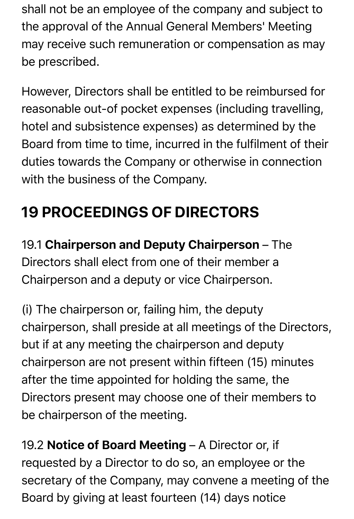shall not be an employee of the company and subject to the approval of the Annual General Members' Meeting may receive such remuneration or compensation as may be prescribed.

However, Directors shall be entitled to be reimbursed for reasonable out-of pocket expenses (including travelling, hotel and subsistence expenses) as determined by the Board from time to time, incurred in the fulfilment of their duties towards the Company or otherwise in connection with the business of the Company.

# **19 PROCEEDINGS OF DIRECTORS**

19.1 Chairperson and Deputy Chairperson – The Directors shall elect from one of their member a Chairperson and a deputy or vice Chairperson.

(i) The chairperson or, failing him, the deputy chairperson, shall preside at all meetings of the Directors, but if at any meeting the chairperson and deputy chairperson are not present within fifteen (15) minutes after the time appointed for holding the same, the Directors present may choose one of their members to be chairperson of the meeting.

19.2 Notice of Board Meeting - A Director or, if requested by a Director to do so, an employee or the secretary of the Company, may convene a meeting of the Board by giving at least fourteen (14) days notice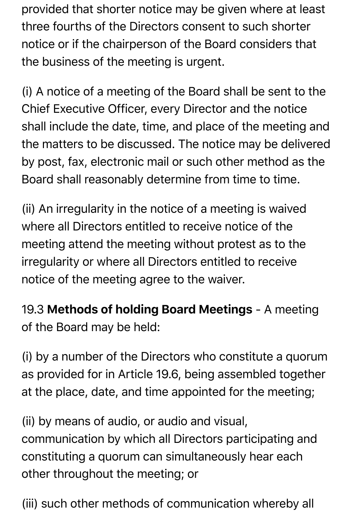provided that shorter notice may be given where at least three fourths of the Directors consent to such shorter notice or if the chairperson of the Board considers that the business of the meeting is urgent.

(i) A notice of a meeting of the Board shall be sent to the Chief Executive Officer, every Director and the notice shall include the date, time, and place of the meeting and the matters to be discussed. The notice may be delivered by post, fax, electronic mail or such other method as the Board shall reasonably determine from time to time.

(ii) An irregularity in the notice of a meeting is waived where all Directors entitled to receive notice of the meeting attend the meeting without protest as to the irregularity or where all Directors entitled to receive notice of the meeting agree to the waiver.

19.3 Methods of holding Board Meetings - A meeting of the Board may be held:

(i) by a number of the Directors who constitute a quorum as provided for in Article 19.6, being assembled together at the place, date, and time appointed for the meeting;

(ii) by means of audio, or audio and visual, communication by which all Directors participating and constituting a quorum can simultaneously hear each other throughout the meeting; or

(iii) such other methods of communication whereby all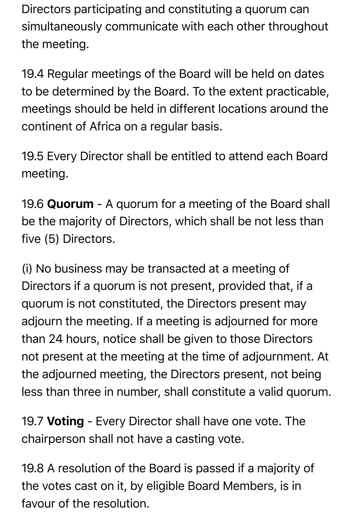Directors participating and constituting a quorum can simultaneously communicate with each other throughout the meeting.

19.4 Regular meetings of the Board will be held on dates to be determined by the Board. To the extent practicable, meetings should be held in different locations around the continent of Africa on a regular basis.

19.5 Every Director shall be entitled to attend each Board meeting.

19.6 Quorum - A quorum for a meeting of the Board shall be the majority of Directors, which shall be not less than five (5) Directors.

(i) No business may be transacted at a meeting of Directors if a quorum is not present, provided that, if a quorum is not constituted, the Directors present may adjourn the meeting. If a meeting is adjourned for more than 24 hours, notice shall be given to those Directors not present at the meeting at the time of adjournment. At the adjourned meeting, the Directors present, not being less than three in number, shall constitute a valid quorum.

19.7 Voting - Every Director shall have one vote. The chairperson shall not have a casting vote.

19.8 A resolution of the Board is passed if a majority of the votes cast on it, by eligible Board Members, is in favour of the resolution.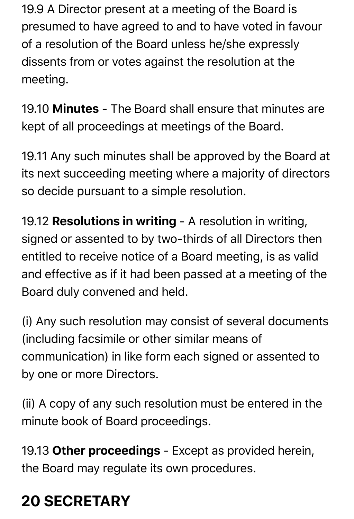19.9 A Director present at a meeting of the Board is presumed to have agreed to and to have voted in favour of a resolution of the Board unless he/she expressly dissents from or votes against the resolution at the meeting.

19.10 Minutes - The Board shall ensure that minutes are kept of all proceedings at meetings of the Board.

19.11 Any such minutes shall be approved by the Board at its next succeeding meeting where a majority of directors so decide pursuant to a simple resolution.

19.12 Resolutions in writing - A resolution in writing, signed or assented to by two-thirds of all Directors then entitled to receive notice of a Board meeting, is as valid and effective as if it had been passed at a meeting of the Board duly convened and held.

(i) Any such resolution may consist of several documents (including facsimile or other similar means of communication) in like form each signed or assented to by one or more Directors.

(ii) A copy of any such resolution must be entered in the minute book of Board proceedings.

19.13 Other proceedings - Except as provided herein, the Board may regulate its own procedures.

# **20 SECRETARY**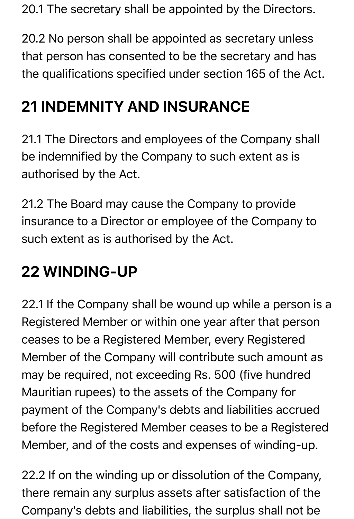20.1 The secretary shall be appointed by the Directors.

20.2 No person shall be appointed as secretary unless that person has consented to be the secretary and has the qualifications specified under section 165 of the Act.

### **21 INDEMNITY AND INSURANCE**

21.1 The Directors and employees of the Company shall be indemnified by the Company to such extent as is authorised by the Act.

21.2 The Board may cause the Company to provide insurance to a Director or employee of the Company to such extent as is authorised by the Act.

### **22 WINDING-UP**

22.1 If the Company shall be wound up while a person is a Registered Member or within one year after that person ceases to be a Registered Member, every Registered Member of the Company will contribute such amount as may be required, not exceeding Rs. 500 (five hundred Mauritian rupees) to the assets of the Company for payment of the Company's debts and liabilities accrued before the Registered Member ceases to be a Registered Member, and of the costs and expenses of winding-up.

22.2 If on the winding up or dissolution of the Company, there remain any surplus assets after satisfaction of the Company's debts and liabilities, the surplus shall not be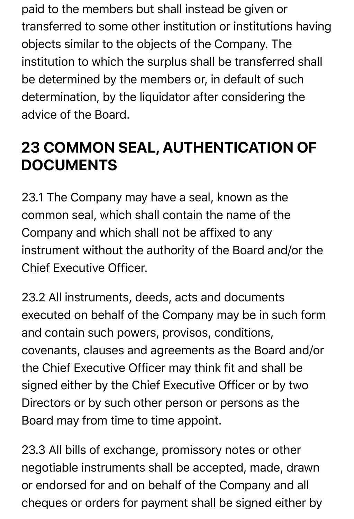paid to the members but shall instead be given or transferred to some other institution or institutions having objects similar to the objects of the Company. The institution to which the surplus shall be transferred shall be determined by the members or, in default of such determination, by the liquidator after considering the advice of the Board.

### **23 COMMON SEAL, AUTHENTICATION OF DOCUMENTS**

23.1 The Company may have a seal, known as the common seal, which shall contain the name of the Company and which shall not be affixed to any instrument without the authority of the Board and/or the Chief Executive Officer.

23.2 All instruments, deeds, acts and documents executed on behalf of the Company may be in such form and contain such powers, provisos, conditions, covenants, clauses and agreements as the Board and/or the Chief Executive Officer may think fit and shall be signed either by the Chief Executive Officer or by two Directors or by such other person or persons as the Board may from time to time appoint.

23.3 All bills of exchange, promissory notes or other negotiable instruments shall be accepted, made, drawn or endorsed for and on behalf of the Company and all cheques or orders for payment shall be signed either by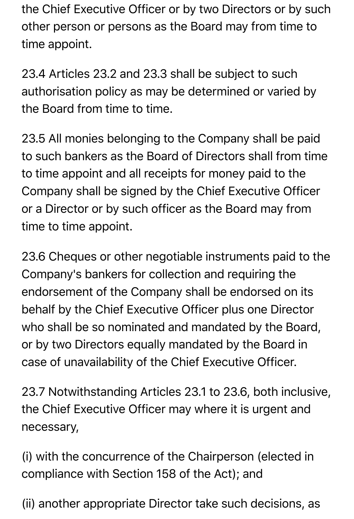the Chief Executive Officer or by two Directors or by such other person or persons as the Board may from time to time appoint.

23.4 Articles 23.2 and 23.3 shall be subject to such authorisation policy as may be determined or varied by the Board from time to time.

23.5 All monies belonging to the Company shall be paid to such bankers as the Board of Directors shall from time to time appoint and all receipts for money paid to the Company shall be signed by the Chief Executive Officer or a Director or by such officer as the Board may from time to time appoint.

23.6 Cheques or other negotiable instruments paid to the Company's bankers for collection and requiring the endorsement of the Company shall be endorsed on its behalf by the Chief Executive Officer plus one Director who shall be so nominated and mandated by the Board, or by two Directors equally mandated by the Board in case of unavailability of the Chief Executive Officer.

23.7 Notwithstanding Articles 23.1 to 23.6, both inclusive, the Chief Executive Officer may where it is urgent and necessary,

(i) with the concurrence of the Chairperson (elected in compliance with Section 158 of the Act); and

(ii) another appropriate Director take such decisions, as